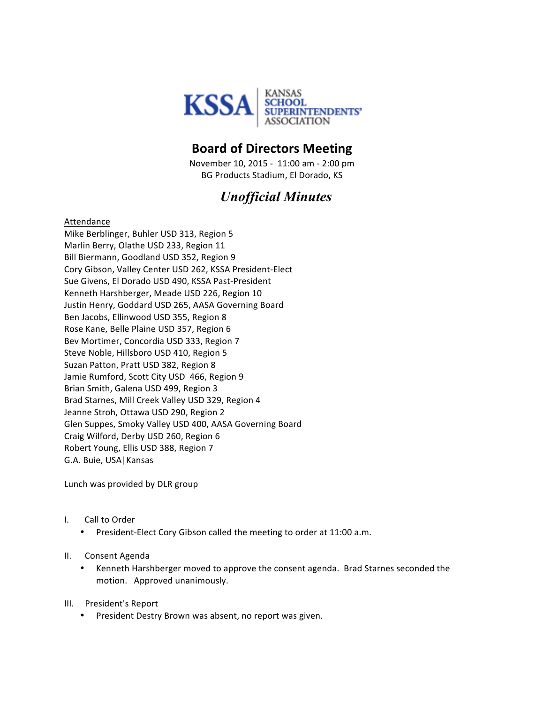

# **Board of Directors Meeting**

November 10, 2015 - 11:00 am - 2:00 pm BG Products Stadium, El Dorado, KS

# *Unofficial Minutes*

Attendance

Mike Berblinger, Buhler USD 313, Region 5 Marlin Berry, Olathe USD 233, Region 11 Bill Biermann, Goodland USD 352, Region 9 Cory Gibson, Valley Center USD 262, KSSA President-Elect Sue Givens, El Dorado USD 490, KSSA Past-President Kenneth Harshberger, Meade USD 226, Region 10 Justin Henry, Goddard USD 265, AASA Governing Board Ben Jacobs, Ellinwood USD 355, Region 8 Rose Kane, Belle Plaine USD 357, Region 6 Bev Mortimer, Concordia USD 333, Region 7 Steve Noble, Hillsboro USD 410, Region 5 Suzan Patton, Pratt USD 382, Region 8 Jamie Rumford, Scott City USD 466, Region 9 Brian Smith, Galena USD 499, Region 3 Brad Starnes, Mill Creek Valley USD 329, Region 4 Jeanne Stroh, Ottawa USD 290, Region 2 Glen Suppes, Smoky Valley USD 400, AASA Governing Board Craig Wilford, Derby USD 260, Region 6 Robert Young, Ellis USD 388, Region 7 G.A. Buie, USA | Kansas

Lunch was provided by DLR group

#### I. Call to Order

President-Elect Cory Gibson called the meeting to order at 11:00 a.m.

#### II. Consent Agenda

• Kenneth Harshberger moved to approve the consent agenda. Brad Starnes seconded the motion. Approved unanimously.

#### III. President's Report

• President Destry Brown was absent, no report was given.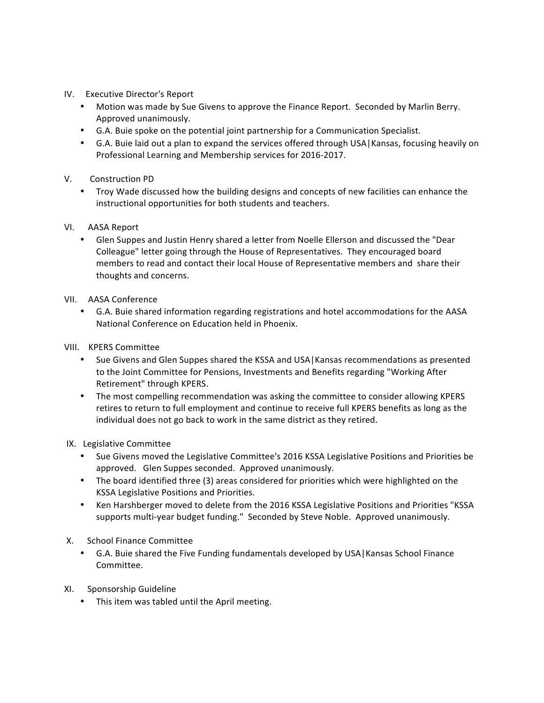- IV. Executive Director's Report
	- Motion was made by Sue Givens to approve the Finance Report. Seconded by Marlin Berry. Approved unanimously.
	- G.A. Buie spoke on the potential joint partnership for a Communication Specialist.
	- G.A. Buie laid out a plan to expand the services offered through USA Kansas, focusing heavily on Professional Learning and Membership services for 2016-2017.
- V. Construction PD
	- Troy Wade discussed how the building designs and concepts of new facilities can enhance the instructional opportunities for both students and teachers.
- VI. AASA Report
	- Glen Suppes and Justin Henry shared a letter from Noelle Ellerson and discussed the "Dear Colleague" letter going through the House of Representatives. They encouraged board members to read and contact their local House of Representative members and share their thoughts and concerns.
- VII. AASA Conference
	- G.A. Buie shared information regarding registrations and hotel accommodations for the AASA National Conference on Education held in Phoenix.
- VIII. KPERS Committee
	- Sue Givens and Glen Suppes shared the KSSA and USA | Kansas recommendations as presented to the Joint Committee for Pensions, Investments and Benefits regarding "Working After Retirement" through KPERS.
	- The most compelling recommendation was asking the committee to consider allowing KPERS retires to return to full employment and continue to receive full KPERS benefits as long as the individual does not go back to work in the same district as they retired.
- IX. Legislative Committee
	- Sue Givens moved the Legislative Committee's 2016 KSSA Legislative Positions and Priorities be approved. Glen Suppes seconded. Approved unanimously.
	- The board identified three (3) areas considered for priorities which were highlighted on the KSSA Legislative Positions and Priorities.
	- Ken Harshberger moved to delete from the 2016 KSSA Legislative Positions and Priorities "KSSA supports multi-year budget funding." Seconded by Steve Noble. Approved unanimously.
- X. School Finance Committee
	- G.A. Buie shared the Five Funding fundamentals developed by USA Kansas School Finance Committee.
- XI. Sponsorship Guideline
	- This item was tabled until the April meeting.